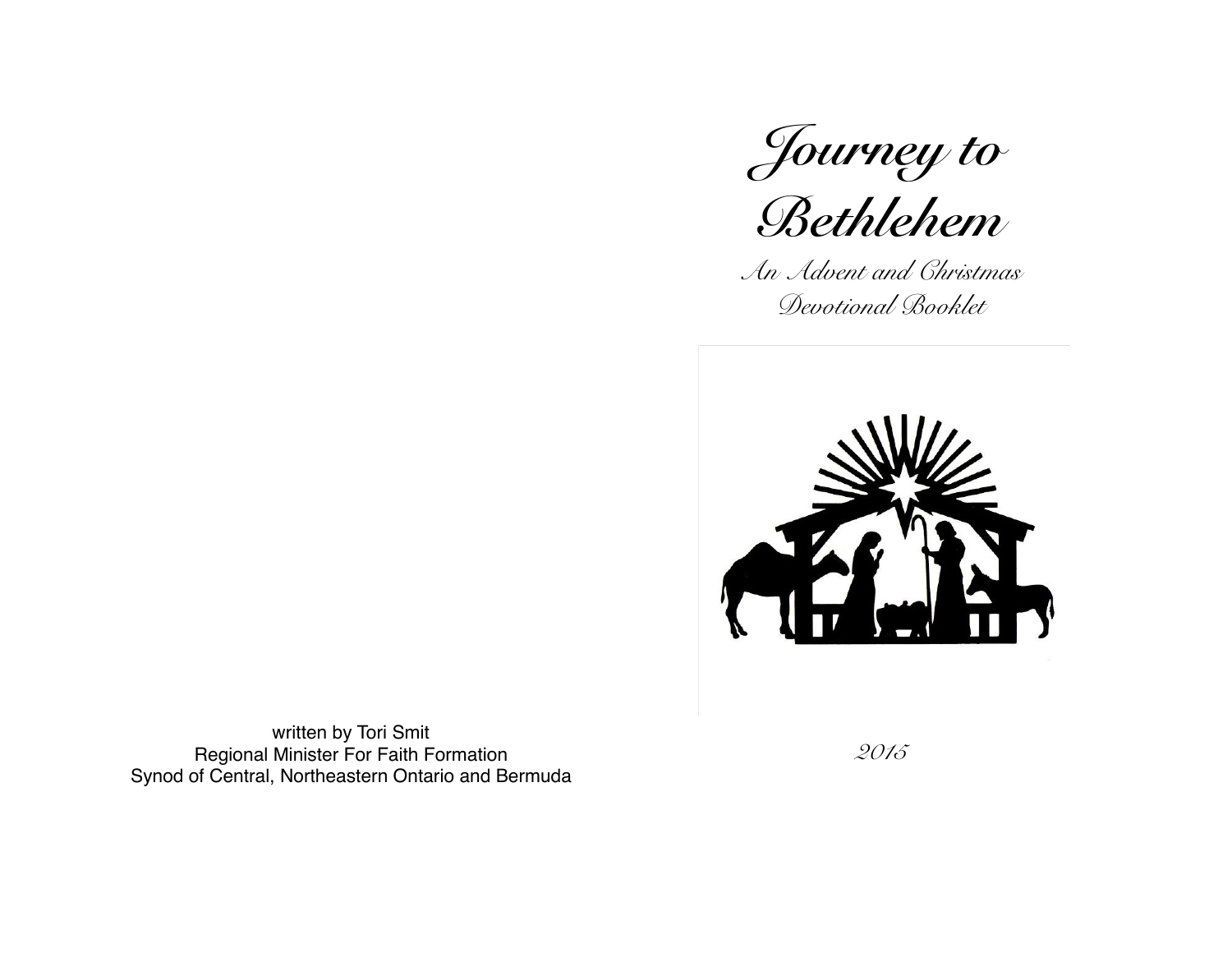*Journey to* 



*An Advent and Christmas Devotional Booklet*



written by Tori Smit Regional Minister For Faith Formation Synod of Central, Northeastern Ontario and Bermuda

*2015*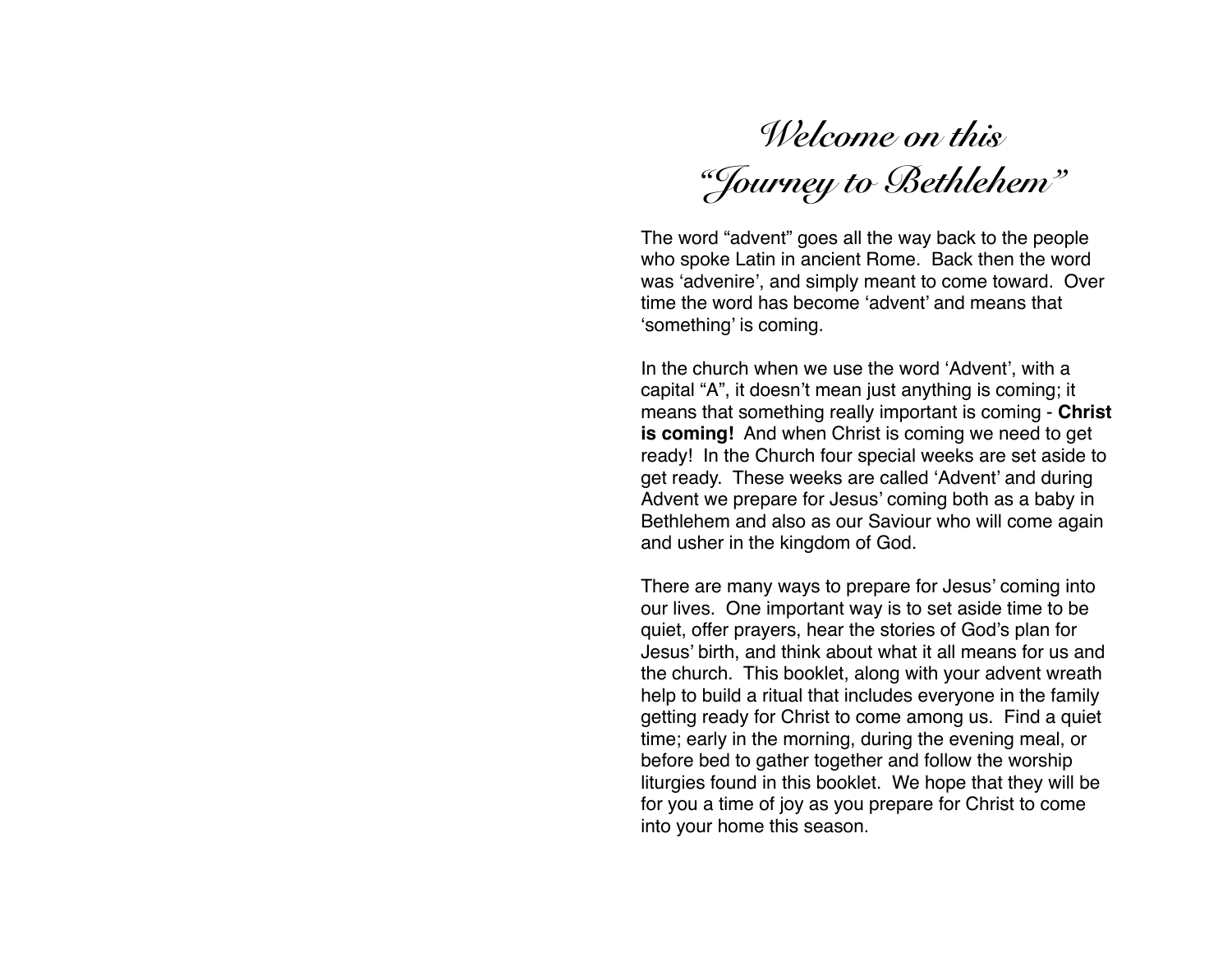*Welcome on this "Journey to Bethlehem"* 

The word "advent" goes all the way back to the people who spoke Latin in ancient Rome. Back then the word was 'advenire', and simply meant to come toward. Over time the word has become 'advent' and means that 'something' is coming.

In the church when we use the word 'Advent', with a capital "A", it doesn't mean just anything is coming; it means that something really important is coming - **Christ is coming!** And when Christ is coming we need to get ready! In the Church four special weeks are set aside to get ready. These weeks are called 'Advent' and during Advent we prepare for Jesus' coming both as a baby in Bethlehem and also as our Saviour who will come again and usher in the kingdom of God.

There are many ways to prepare for Jesus' coming into our lives. One important way is to set aside time to be quiet, offer prayers, hear the stories of God's plan for Jesus' birth, and think about what it all means for us and the church. This booklet, along with your advent wreath help to build a ritual that includes everyone in the family getting ready for Christ to come among us. Find a quiet time; early in the morning, during the evening meal, or before bed to gather together and follow the worship liturgies found in this booklet. We hope that they will be for you a time of joy as you prepare for Christ to come into your home this season.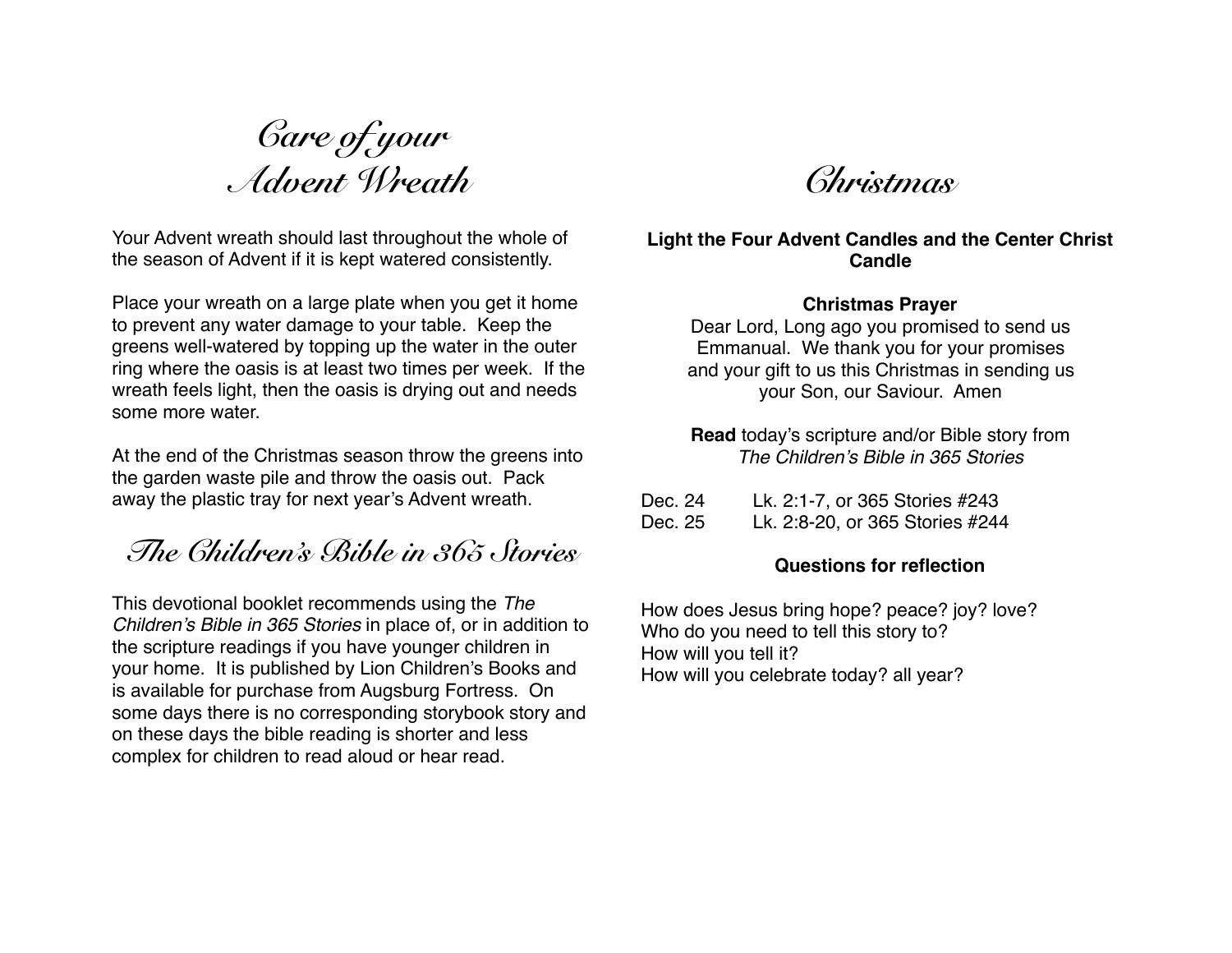*Care of your Advent Wreath* 

Your Advent wreath should last throughout the whole of the season of Advent if it is kept watered consistently.

Place your wreath on a large plate when you get it home to prevent any water damage to your table. Keep the greens well-watered by topping up the water in the outer ring where the oasis is at least two times per week. If the wreath feels light, then the oasis is drying out and needs some more water.

At the end of the Christmas season throw the greens into the garden waste pile and throw the oasis out. Pack away the plastic tray for next year's Advent wreath.

*The Children's Bible in 365 Stories* 

This devotional booklet recommends using the *The Children's Bible in 365 Stories* in place of, or in addition to the scripture readings if you have younger children in your home. It is published by Lion Children's Books and is available for purchase from Augsburg Fortress. On some days there is no corresponding storybook story and on these days the bible reading is shorter and less complex for children to read aloud or hear read.

*Christmas* 

# **Light the Four Advent Candles and the Center Christ Candle**

#### **Christmas Prayer**

Dear Lord, Long ago you promised to send us Emmanual. We thank you for your promises and your gift to us this Christmas in sending us your Son, our Saviour. Amen

**Read** today's scripture and/or Bible story from *The Children's Bible in 365 Stories*

| Dec. 24 | Lk. 2:1-7, or 365 Stories #243  |
|---------|---------------------------------|
| Dec. 25 | Lk. 2:8-20, or 365 Stories #244 |

#### **Questions for reflection**

How does Jesus bring hope? peace? joy? love? Who do you need to tell this story to? How will you tell it? How will you celebrate today? all year?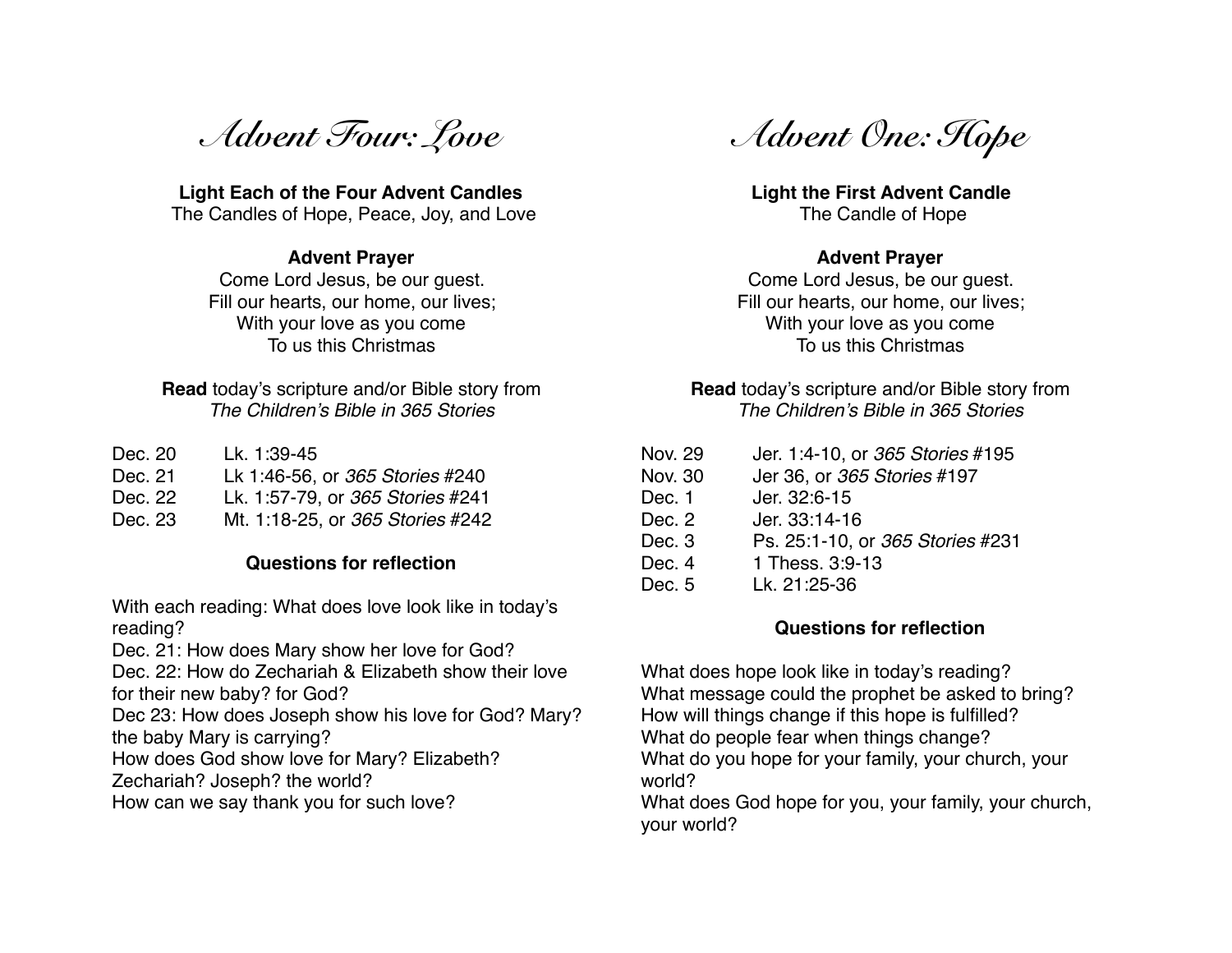*Advent Four: Love* 

**Light Each of the Four Advent Candles** The Candles of Hope, Peace, Joy, and Love

#### **Advent Prayer**

Come Lord Jesus, be our guest. Fill our hearts, our home, our lives; With your love as you come To us this Christmas

**Read** today's scripture and/or Bible story from *The Children's Bible in 365 Stories*

| Dec. 20 | Lk. 1:39-45                      |
|---------|----------------------------------|
| Dec. 21 | Lk 1:46-56, or 365 Stories #240  |
| Dec. 22 | Lk. 1:57-79, or 365 Stories #241 |
| Dec. 23 | Mt. 1:18-25, or 365 Stories #242 |

# **Questions for reflection**

With each reading: What does love look like in today's reading?

Dec. 21: How does Mary show her love for God?

Dec. 22: How do Zechariah & Elizabeth show their love for their new baby? for God?

Dec 23: How does Joseph show his love for God? Mary? the baby Mary is carrying?

How does God show love for Mary? Elizabeth?

Zechariah? Joseph? the world?

How can we say thank you for such love?

*Advent One: Hope* 

**Light the First Advent Candle** The Candle of Hope

### **Advent Prayer**

Come Lord Jesus, be our guest. Fill our hearts, our home, our lives; With your love as you come To us this Christmas

# **Read** today's scripture and/or Bible story from *The Children's Bible in 365 Stories*

| Nov. 29        | Jer. 1:4-10, or 365 Stories #195 |
|----------------|----------------------------------|
| <b>Nov. 30</b> | Jer 36, or 365 Stories #197      |
| Dec. 1         | Jer. 32:6-15                     |
| Dec. 2         | Jer. 33:14-16                    |
| Dec. 3         | Ps. 25:1-10, or 365 Stories #231 |
| Dec. 4         | 1 Thess, 3:9-13                  |
| Dec. 5         | Lk. 21:25-36                     |
|                |                                  |

# **Questions for reflection**

What does hope look like in today's reading? What message could the prophet be asked to bring? How will things change if this hope is fulfilled? What do people fear when things change? What do you hope for your family, your church, your world?

What does God hope for you, your family, your church, your world?